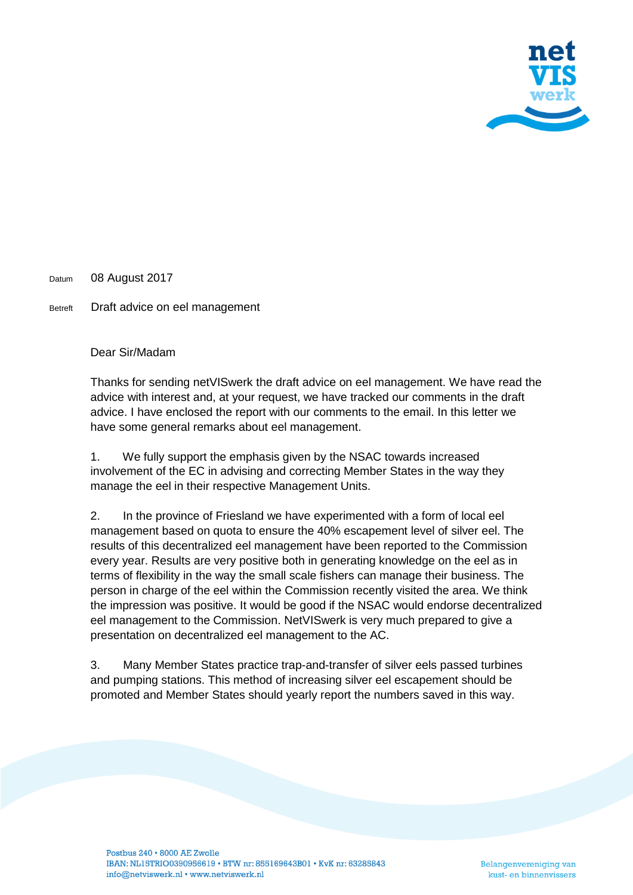

Datum 08 August 2017

Betreft Draft advice on eel management

Dear Sir/Madam

Thanks for sending netVISwerk the draft advice on eel management. We have read the advice with interest and, at your request, we have tracked our comments in the draft advice. I have enclosed the report with our comments to the email. In this letter we have some general remarks about eel management.

1. We fully support the emphasis given by the NSAC towards increased involvement of the EC in advising and correcting Member States in the way they manage the eel in their respective Management Units.

2. In the province of Friesland we have experimented with a form of local eel management based on quota to ensure the 40% escapement level of silver eel. The results of this decentralized eel management have been reported to the Commission every year. Results are very positive both in generating knowledge on the eel as in terms of flexibility in the way the small scale fishers can manage their business. The person in charge of the eel within the Commission recently visited the area. We think the impression was positive. It would be good if the NSAC would endorse decentralized eel management to the Commission. NetVISwerk is very much prepared to give a presentation on decentralized eel management to the AC.

3. Many Member States practice trap-and-transfer of silver eels passed turbines and pumping stations. This method of increasing silver eel escapement should be promoted and Member States should yearly report the numbers saved in this way.